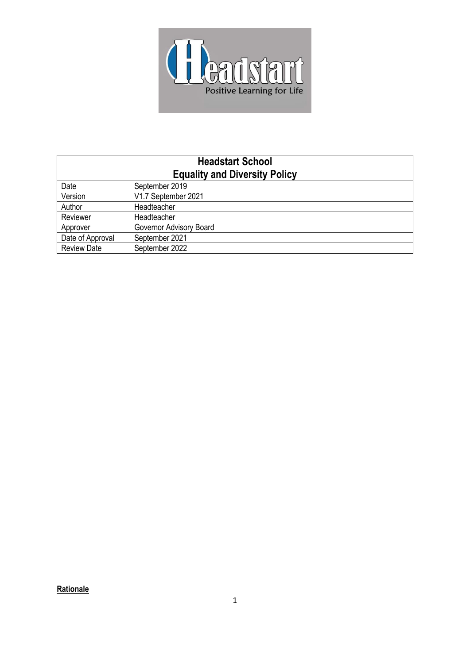

| <b>Headstart School</b><br><b>Equality and Diversity Policy</b> |                         |
|-----------------------------------------------------------------|-------------------------|
| Date                                                            | September 2019          |
| Version                                                         | V1.7 September 2021     |
| Author                                                          | Headteacher             |
| Reviewer                                                        | Headteacher             |
| Approver                                                        | Governor Advisory Board |
| Date of Approval                                                | September 2021          |
| <b>Review Date</b>                                              | September 2022          |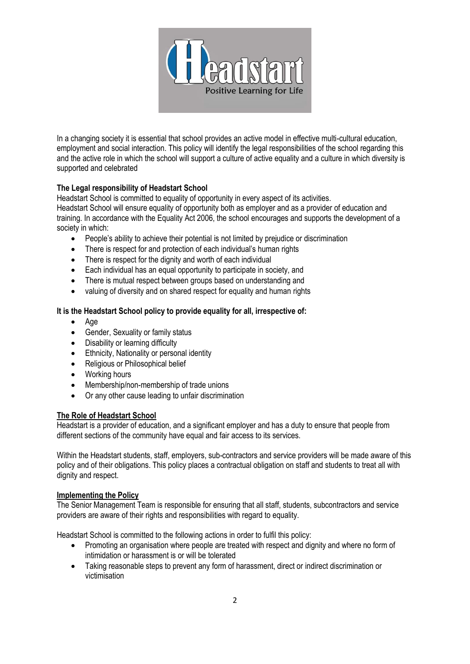

In a changing society it is essential that school provides an active model in effective multi-cultural education, employment and social interaction. This policy will identify the legal responsibilities of the school regarding this and the active role in which the school will support a culture of active equality and a culture in which diversity is supported and celebrated

# **The Legal responsibility of Headstart School**

Headstart School is committed to equality of opportunity in every aspect of its activities. Headstart School will ensure equality of opportunity both as employer and as a provider of education and training. In accordance with the Equality Act 2006, the school encourages and supports the development of a society in which:

- People's ability to achieve their potential is not limited by prejudice or discrimination
- There is respect for and protection of each individual's human rights
- There is respect for the dignity and worth of each individual
- Each individual has an equal opportunity to participate in society, and
- There is mutual respect between groups based on understanding and
- valuing of diversity and on shared respect for equality and human rights

## **It is the Headstart School policy to provide equality for all, irrespective of:**

- Age
- Gender, Sexuality or family status
- Disability or learning difficulty
- Ethnicity, Nationality or personal identity
- Religious or Philosophical belief
- Working hours
- Membership/non-membership of trade unions
- Or any other cause leading to unfair discrimination

### **The Role of Headstart School**

Headstart is a provider of education, and a significant employer and has a duty to ensure that people from different sections of the community have equal and fair access to its services.

Within the Headstart students, staff, employers, sub-contractors and service providers will be made aware of this policy and of their obligations. This policy places a contractual obligation on staff and students to treat all with dignity and respect.

### **Implementing the Policy**

The Senior Management Team is responsible for ensuring that all staff, students, subcontractors and service providers are aware of their rights and responsibilities with regard to equality.

Headstart School is committed to the following actions in order to fulfil this policy:

- Promoting an organisation where people are treated with respect and dignity and where no form of intimidation or harassment is or will be tolerated
- Taking reasonable steps to prevent any form of harassment, direct or indirect discrimination or victimisation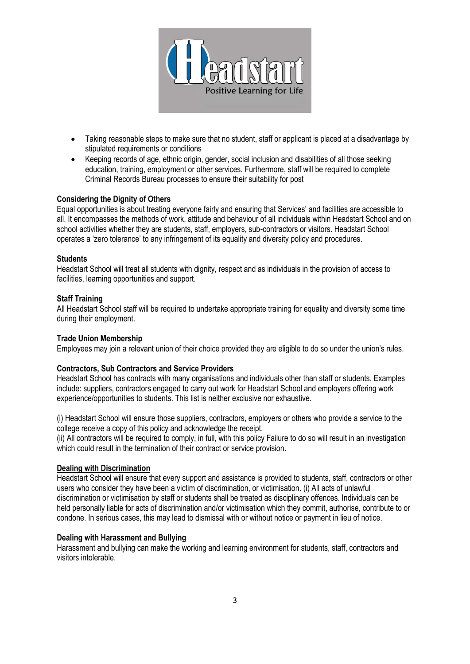

- Taking reasonable steps to make sure that no student, staff or applicant is placed at a disadvantage by stipulated requirements or conditions
- Keeping records of age, ethnic origin, gender, social inclusion and disabilities of all those seeking education, training, employment or other services. Furthermore, staff will be required to complete Criminal Records Bureau processes to ensure their suitability for post

## **Considering the Dignity of Others**

Equal opportunities is about treating everyone fairly and ensuring that Services' and facilities are accessible to all. It encompasses the methods of work, attitude and behaviour of all individuals within Headstart School and on school activities whether they are students, staff, employers, sub-contractors or visitors. Headstart School operates a 'zero tolerance' to any infringement of its equality and diversity policy and procedures.

#### **Students**

Headstart School will treat all students with dignity, respect and as individuals in the provision of access to facilities, learning opportunities and support.

#### **Staff Training**

All Headstart School staff will be required to undertake appropriate training for equality and diversity some time during their employment.

### **Trade Union Membership**

Employees may join a relevant union of their choice provided they are eligible to do so under the union's rules.

### **Contractors, Sub Contractors and Service Providers**

Headstart School has contracts with many organisations and individuals other than staff or students. Examples include: suppliers, contractors engaged to carry out work for Headstart School and employers offering work experience/opportunities to students. This list is neither exclusive nor exhaustive.

(i) Headstart School will ensure those suppliers, contractors, employers or others who provide a service to the college receive a copy of this policy and acknowledge the receipt.

(ii) All contractors will be required to comply, in full, with this policy Failure to do so will result in an investigation which could result in the termination of their contract or service provision.

### **Dealing with Discrimination**

Headstart School will ensure that every support and assistance is provided to students, staff, contractors or other users who consider they have been a victim of discrimination, or victimisation. (i) All acts of unlawful discrimination or victimisation by staff or students shall be treated as disciplinary offences. Individuals can be held personally liable for acts of discrimination and/or victimisation which they commit, authorise, contribute to or condone. In serious cases, this may lead to dismissal with or without notice or payment in lieu of notice.

#### **Dealing with Harassment and Bullying**

Harassment and bullying can make the working and learning environment for students, staff, contractors and visitors intolerable.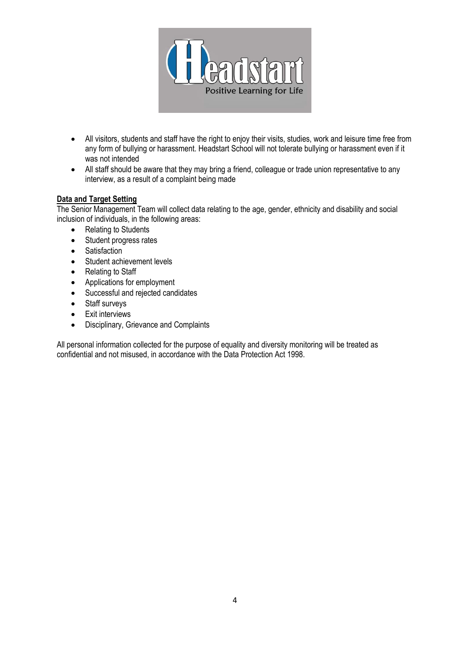

- All visitors, students and staff have the right to enjoy their visits, studies, work and leisure time free from any form of bullying or harassment. Headstart School will not tolerate bullying or harassment even if it was not intended
- All staff should be aware that they may bring a friend, colleague or trade union representative to any interview, as a result of a complaint being made

# **Data and Target Setting**

The Senior Management Team will collect data relating to the age, gender, ethnicity and disability and social inclusion of individuals, in the following areas:

- Relating to Students
- Student progress rates
- Satisfaction
- Student achievement levels
- Relating to Staff
- Applications for employment
- Successful and rejected candidates
- Staff surveys
- Exit interviews
- Disciplinary, Grievance and Complaints

All personal information collected for the purpose of equality and diversity monitoring will be treated as confidential and not misused, in accordance with the Data Protection Act 1998.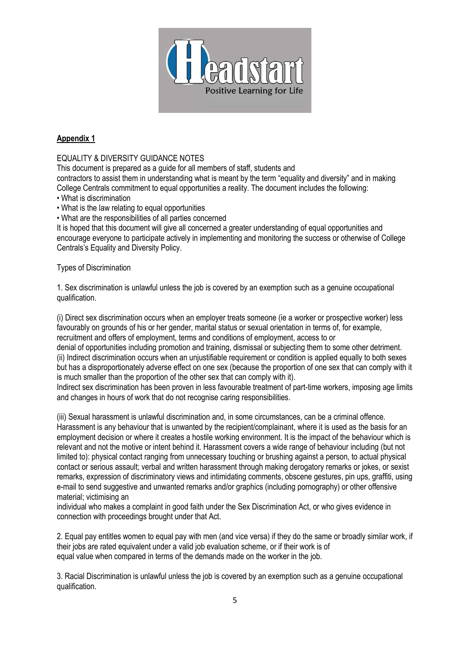

# **Appendix 1**

# EQUALITY & DIVERSITY GUIDANCE NOTES

This document is prepared as a guide for all members of staff, students and

contractors to assist them in understanding what is meant by the term "equality and diversity" and in making College Centrals commitment to equal opportunities a reality. The document includes the following:

- What is discrimination
- What is the law relating to equal opportunities
- What are the responsibilities of all parties concerned

It is hoped that this document will give all concerned a greater understanding of equal opportunities and encourage everyone to participate actively in implementing and monitoring the success or otherwise of College Centrals's Equality and Diversity Policy.

## Types of Discrimination

1. Sex discrimination is unlawful unless the job is covered by an exemption such as a genuine occupational qualification.

(i) Direct sex discrimination occurs when an employer treats someone (ie a worker or prospective worker) less favourably on grounds of his or her gender, marital status or sexual orientation in terms of, for example, recruitment and offers of employment, terms and conditions of employment, access to or

denial of opportunities including promotion and training, dismissal or subjecting them to some other detriment. (ii) Indirect discrimination occurs when an unjustifiable requirement or condition is applied equally to both sexes but has a disproportionately adverse effect on one sex (because the proportion of one sex that can comply with it is much smaller than the proportion of the other sex that can comply with it).

Indirect sex discrimination has been proven in less favourable treatment of part-time workers, imposing age limits and changes in hours of work that do not recognise caring responsibilities.

(iii) Sexual harassment is unlawful discrimination and, in some circumstances, can be a criminal offence. Harassment is any behaviour that is unwanted by the recipient/complainant, where it is used as the basis for an employment decision or where it creates a hostile working environment. It is the impact of the behaviour which is relevant and not the motive or intent behind it. Harassment covers a wide range of behaviour including (but not limited to): physical contact ranging from unnecessary touching or brushing against a person, to actual physical contact or serious assault; verbal and written harassment through making derogatory remarks or jokes, or sexist remarks, expression of discriminatory views and intimidating comments, obscene gestures, pin ups, graffiti, using e-mail to send suggestive and unwanted remarks and/or graphics (including pornography) or other offensive material; victimising an

individual who makes a complaint in good faith under the Sex Discrimination Act, or who gives evidence in connection with proceedings brought under that Act.

2. Equal pay entitles women to equal pay with men (and vice versa) if they do the same or broadly similar work, if their jobs are rated equivalent under a valid job evaluation scheme, or if their work is of equal value when compared in terms of the demands made on the worker in the job.

3. Racial Discrimination is unlawful unless the job is covered by an exemption such as a genuine occupational qualification.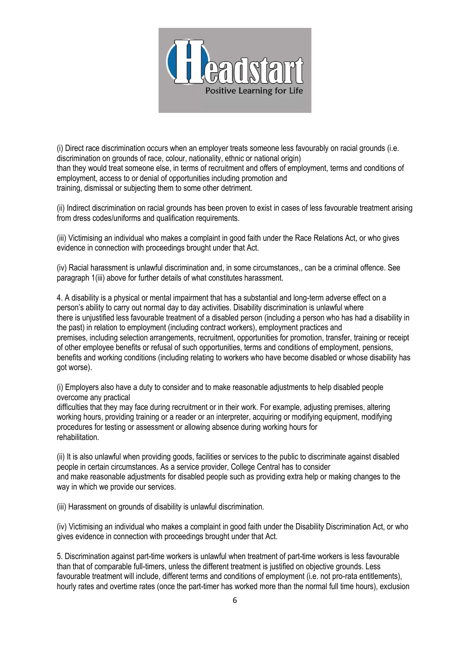

(i) Direct race discrimination occurs when an employer treats someone less favourably on racial grounds (i.e. discrimination on grounds of race, colour, nationality, ethnic or national origin) than they would treat someone else, in terms of recruitment and offers of employment, terms and conditions of employment, access to or denial of opportunities including promotion and training, dismissal or subjecting them to some other detriment.

(ii) Indirect discrimination on racial grounds has been proven to exist in cases of less favourable treatment arising from dress codes/uniforms and qualification requirements.

(iii) Victimising an individual who makes a complaint in good faith under the Race Relations Act, or who gives evidence in connection with proceedings brought under that Act.

(iv) Racial harassment is unlawful discrimination and, in some circumstances,, can be a criminal offence. See paragraph 1(iii) above for further details of what constitutes harassment.

4. A disability is a physical or mental impairment that has a substantial and long-term adverse effect on a person's ability to carry out normal day to day activities. Disability discrimination is unlawful where there is unjustified less favourable treatment of a disabled person (including a person who has had a disability in the past) in relation to employment (including contract workers), employment practices and premises, including selection arrangements, recruitment, opportunities for promotion, transfer, training or receipt of other employee benefits or refusal of such opportunities, terms and conditions of employment, pensions, benefits and working conditions (including relating to workers who have become disabled or whose disability has got worse).

(i) Employers also have a duty to consider and to make reasonable adjustments to help disabled people overcome any practical

difficulties that they may face during recruitment or in their work. For example, adjusting premises, altering working hours, providing training or a reader or an interpreter, acquiring or modifying equipment, modifying procedures for testing or assessment or allowing absence during working hours for rehabilitation.

(ii) It is also unlawful when providing goods, facilities or services to the public to discriminate against disabled people in certain circumstances. As a service provider, College Central has to consider and make reasonable adjustments for disabled people such as providing extra help or making changes to the way in which we provide our services.

(iii) Harassment on grounds of disability is unlawful discrimination.

(iv) Victimising an individual who makes a complaint in good faith under the Disability Discrimination Act, or who gives evidence in connection with proceedings brought under that Act.

5. Discrimination against part-time workers is unlawful when treatment of part-time workers is less favourable than that of comparable full-timers, unless the different treatment is justified on objective grounds. Less favourable treatment will include, different terms and conditions of employment (i.e. not pro-rata entitlements), hourly rates and overtime rates (once the part-timer has worked more than the normal full time hours), exclusion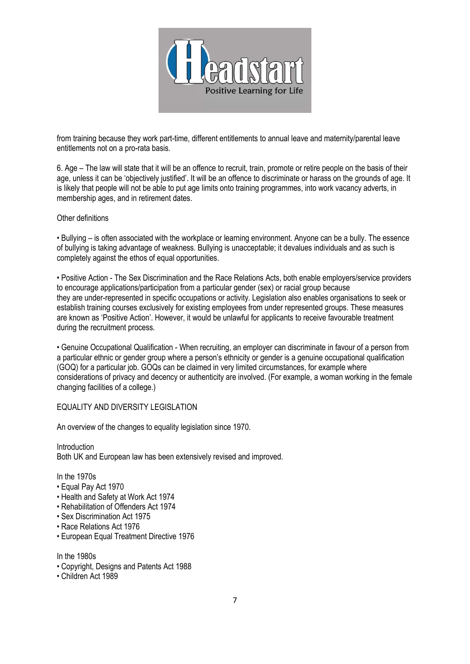

from training because they work part-time, different entitlements to annual leave and maternity/parental leave entitlements not on a pro-rata basis.

6. Age – The law will state that it will be an offence to recruit, train, promote or retire people on the basis of their age, unless it can be 'objectively justified'. It will be an offence to discriminate or harass on the grounds of age. It is likely that people will not be able to put age limits onto training programmes, into work vacancy adverts, in membership ages, and in retirement dates.

### Other definitions

• Bullying – is often associated with the workplace or learning environment. Anyone can be a bully. The essence of bullying is taking advantage of weakness. Bullying is unacceptable; it devalues individuals and as such is completely against the ethos of equal opportunities.

• Positive Action - The Sex Discrimination and the Race Relations Acts, both enable employers/service providers to encourage applications/participation from a particular gender (sex) or racial group because they are under-represented in specific occupations or activity. Legislation also enables organisations to seek or establish training courses exclusively for existing employees from under represented groups. These measures are known as 'Positive Action'. However, it would be unlawful for applicants to receive favourable treatment during the recruitment process.

• Genuine Occupational Qualification - When recruiting, an employer can discriminate in favour of a person from a particular ethnic or gender group where a person's ethnicity or gender is a genuine occupational qualification (GOQ) for a particular job. GOQs can be claimed in very limited circumstances, for example where considerations of privacy and decency or authenticity are involved. (For example, a woman working in the female changing facilities of a college.)

### EQUALITY AND DIVERSITY LEGISLATION

An overview of the changes to equality legislation since 1970.

**Introduction** Both UK and European law has been extensively revised and improved.

In the 1970s

- Equal Pay Act 1970
- Health and Safety at Work Act 1974
- Rehabilitation of Offenders Act 1974
- Sex Discrimination Act 1975
- Race Relations Act 1976
- European Equal Treatment Directive 1976

In the 1980s

- Copyright, Designs and Patents Act 1988
- Children Act 1989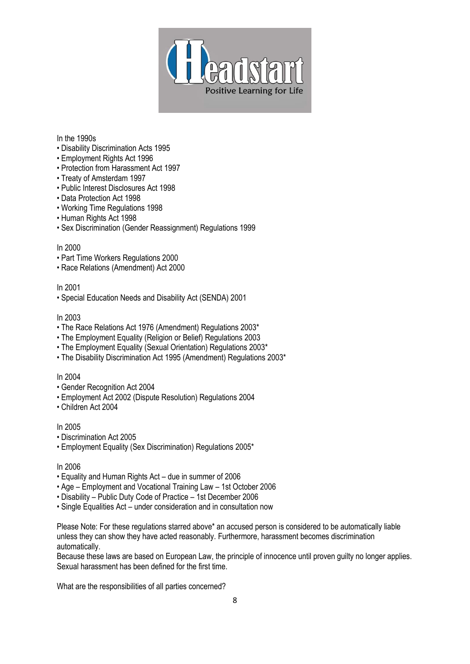

### In the 1990s

- Disability Discrimination Acts 1995
- Employment Rights Act 1996
- Protection from Harassment Act 1997
- Treaty of Amsterdam 1997
- Public Interest Disclosures Act 1998
- Data Protection Act 1998
- Working Time Regulations 1998
- Human Rights Act 1998
- Sex Discrimination (Gender Reassignment) Regulations 1999

#### In 2000

- Part Time Workers Regulations 2000
- Race Relations (Amendment) Act 2000

#### In 2001

• Special Education Needs and Disability Act (SENDA) 2001

### In 2003

- The Race Relations Act 1976 (Amendment) Regulations 2003\*
- The Employment Equality (Religion or Belief) Regulations 2003
- The Employment Equality (Sexual Orientation) Regulations 2003\*
- The Disability Discrimination Act 1995 (Amendment) Regulations 2003\*

### In 2004

- Gender Recognition Act 2004
- Employment Act 2002 (Dispute Resolution) Regulations 2004
- Children Act 2004

# In 2005

- Discrimination Act 2005
- Employment Equality (Sex Discrimination) Regulations 2005\*

### In 2006

- Equality and Human Rights Act due in summer of 2006
- Age Employment and Vocational Training Law 1st October 2006
- Disability Public Duty Code of Practice 1st December 2006
- Single Equalities Act under consideration and in consultation now

Please Note: For these regulations starred above\* an accused person is considered to be automatically liable unless they can show they have acted reasonably. Furthermore, harassment becomes discrimination automatically.

Because these laws are based on European Law, the principle of innocence until proven guilty no longer applies. Sexual harassment has been defined for the first time.

What are the responsibilities of all parties concerned?